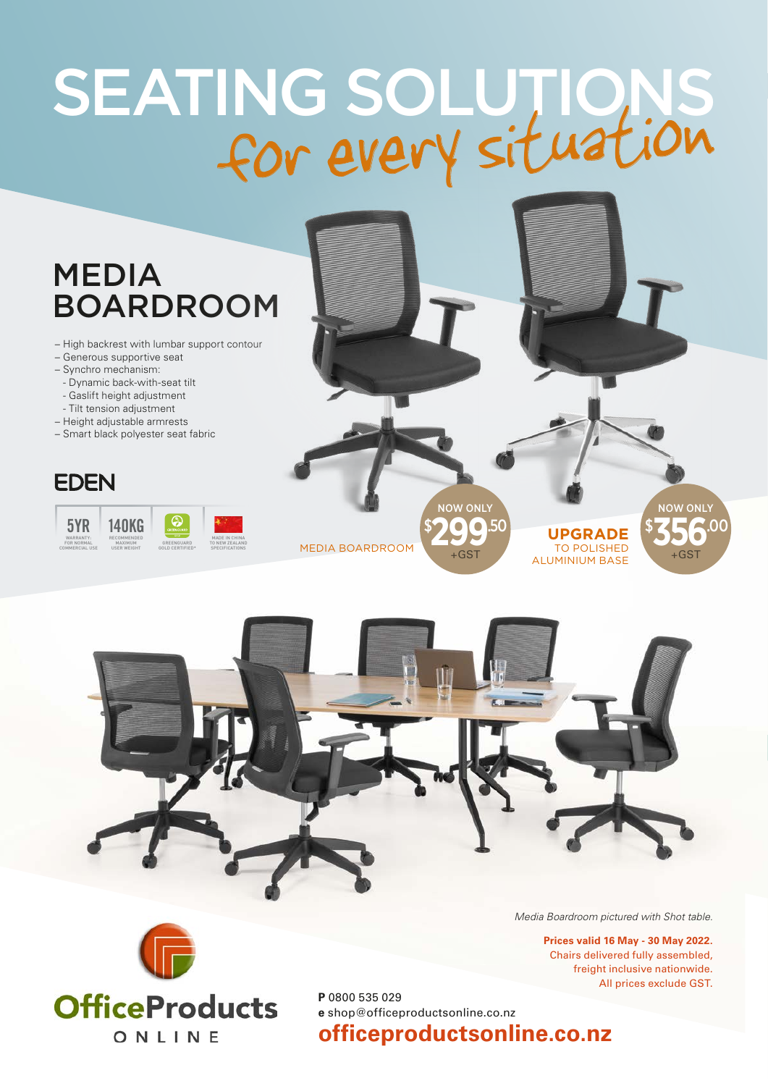## SEATING SOLUTIONS for every situation





*Media Boardroom pictured with Shot table.*

**Prices valid 16 May - 30 May 2022.** Chairs delivered fully assembled, freight inclusive nationwide. All prices exclude GST.



**P** 0800 535 029 **e** shop@officeproductsonline.co.nz **officeproductsonline.co.nz**